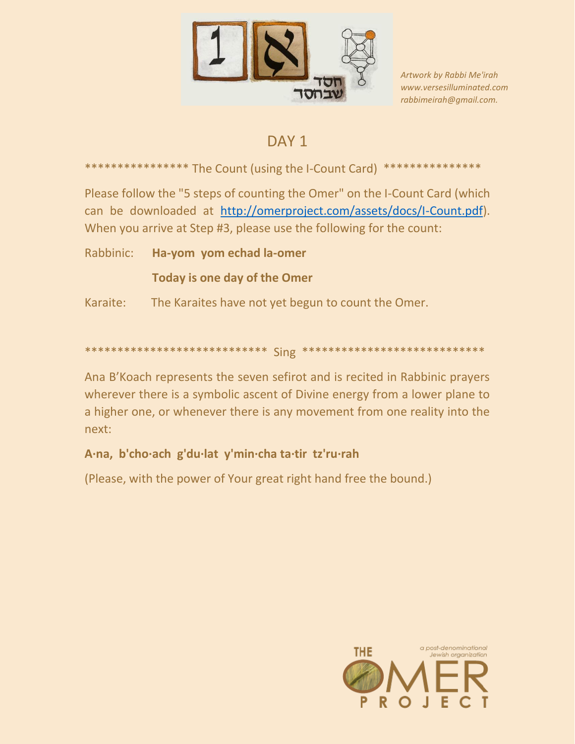

Artwork by Rabbi Me'irah www.versesilluminated.com rabbimeirah@qmail.com.

## DAY<sub>1</sub>

\*\*\*\*\*\*\*\*\*\*\*\*\*\*\*\*\* The Count (using the I-Count Card) \*\*\*\*\*\*\*\*\*\*\*\*\*\*\*

Please follow the "5 steps of counting the Omer" on the I-Count Card (which can be downloaded at http://omerproject.com/assets/docs/I-Count.pdf). When you arrive at Step #3, please use the following for the count:

Rabbinic: Ha-yom yom echad la-omer

**Today is one day of the Omer** 

Karaite: The Karaites have not yet begun to count the Omer.

## 

Ana B'Koach represents the seven sefirot and is recited in Rabbinic prayers wherever there is a symbolic ascent of Divine energy from a lower plane to a higher one, or whenever there is any movement from one reality into the next:

## A·na, b'cho·ach g'du·lat y'min·cha ta·tir tz'ru·rah

(Please, with the power of Your great right hand free the bound.)

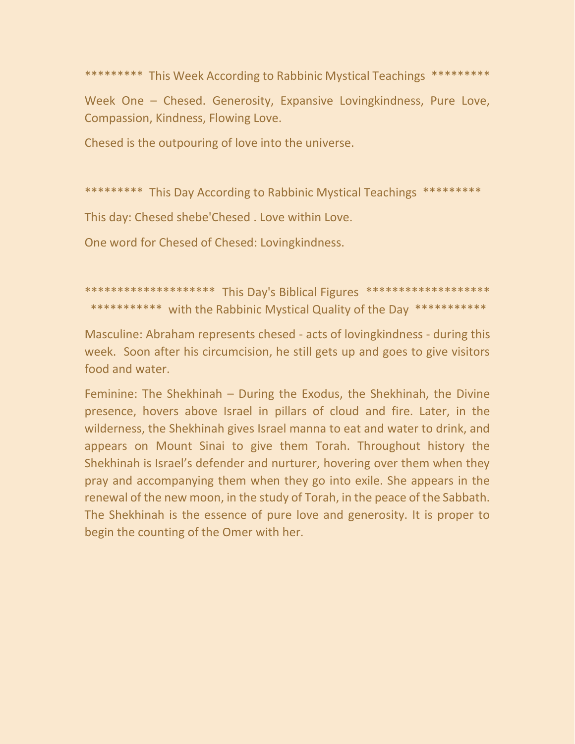\*\*\*\*\*\*\*\*\* This Week According to Rabbinic Mystical Teachings \*\*\*\*\*\*\*\*\* Week One – Chesed. Generosity, Expansive Lovingkindness, Pure Love, Compassion, Kindness, Flowing Love.

Chesed is the outpouring of love into the universe.

\*\*\*\*\*\*\*\*\* This Day According to Rabbinic Mystical Teachings \*\*\*\*\*\*\*\*\*

This day: Chesed shebe'Chesed . Love within Love.

One word for Chesed of Chesed: Lovingkindness.

\*\*\*\*\*\*\*\*\*\*\*\*\*\*\*\*\*\*\*\* This Day's Biblical Figures \*\*\*\*\*\*\*\*\*\*\*\*\*\*\*\*\*\*\* \*\*\*\*\*\*\*\*\*\*\* with the Rabbinic Mystical Quality of the Day \*\*\*\*\*\*\*\*\*\*\*

Masculine: Abraham represents chesed - acts of lovingkindness - during this week. Soon after his circumcision, he still gets up and goes to give visitors food and water.

Feminine: The Shekhinah – During the Exodus, the Shekhinah, the Divine presence, hovers above Israel in pillars of cloud and fire. Later, in the wilderness, the Shekhinah gives Israel manna to eat and water to drink, and appears on Mount Sinai to give them Torah. Throughout history the Shekhinah is Israel's defender and nurturer, hovering over them when they pray and accompanying them when they go into exile. She appears in the renewal of the new moon, in the study of Torah, in the peace of the Sabbath. The Shekhinah is the essence of pure love and generosity. It is proper to begin the counting of the Omer with her.